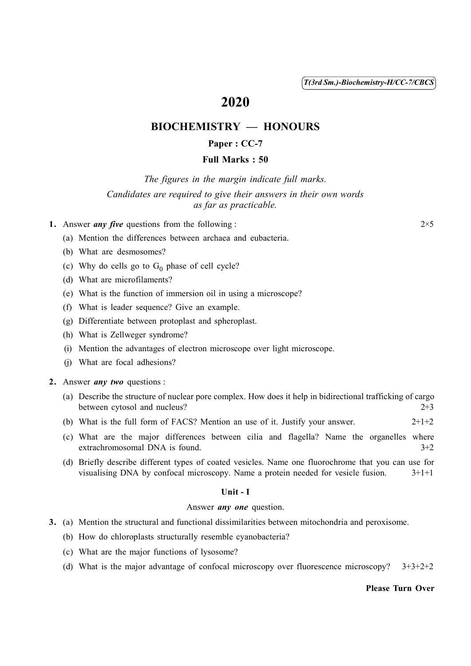( 1 ) *T(3rd Sm.)-Biochemistry-H/CC-7/CBCS*

# 2020

## BIOCHEMISTRY — HONOURS

## Paper : CC-7

## Full Marks : 50

*The figures in the margin indicate full marks.*

## *Candidates are required to give their answers in their own words as far as practicable.*

## 1. Answer *any five* questions from the following : 2×5

- (a) Mention the differences between archaea and eubacteria.
- (b) What are desmosomes?
- (c) Why do cells go to  $G_0$  phase of cell cycle?
- (d) What are microfilaments?
- (e) What is the function of immersion oil in using a microscope?
- (f) What is leader sequence? Give an example.
- (g) Differentiate between protoplast and spheroplast.
- (h) What is Zellweger syndrome?
- (i) Mention the advantages of electron microscope over light microscope.
- (j) What are focal adhesions?

### 2. Answer *any two* questions :

- (a) Describe the structure of nuclear pore complex. How does it help in bidirectional trafficking of cargo between cytosol and nucleus? 2+3
- (b) What is the full form of FACS? Mention an use of it. Justify your answer.  $2+1+2$
- (c) What are the major differences between cilia and flagella? Name the organelles where extrachromosomal DNA is found. 3+2
- (d) Briefly describe different types of coated vesicles. Name one fluorochrome that you can use for visualising DNA by confocal microscopy. Name a protein needed for vesicle fusion. 3+1+1

#### Unit - I

#### Answer *any one* question.

- 3. (a) Mention the structural and functional dissimilarities between mitochondria and peroxisome.
	- (b) How do chloroplasts structurally resemble cyanobacteria?
	- (c) What are the major functions of lysosome?
	- (d) What is the major advantage of confocal microscopy over fluorescence microscopy?  $3+3+2+2$

#### Please Turn Over